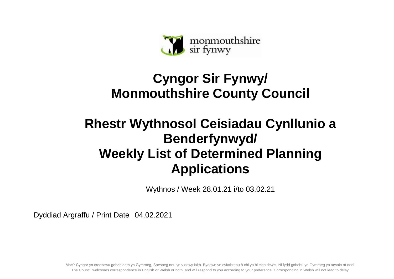

## **Cyngor Sir Fynwy/ Monmouthshire County Council**

## **Rhestr Wythnosol Ceisiadau Cynllunio a Benderfynwyd/ Weekly List of Determined Planning Applications**

Wythnos / Week 28.01.21 i/to 03.02.21

Dyddiad Argraffu / Print Date 04.02.2021

Mae'r Cyngor yn croesawu gohebiaeth yn Gymraeg, Saesneg neu yn y ddwy iaith. Byddwn yn cyfathrebu â chi yn ôl eich dewis. Ni fydd gohebu yn Gymraeg yn arwain at oedi. The Council welcomes correspondence in English or Welsh or both, and will respond to you according to your preference. Corresponding in Welsh will not lead to delay.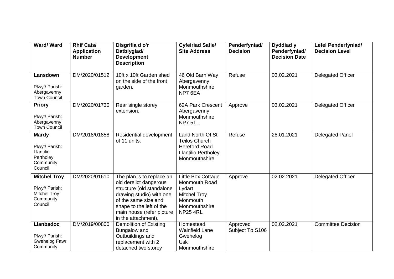| Ward/Ward                                                                            | <b>Rhif Cais/</b><br><b>Application</b><br><b>Number</b> | Disgrifia d o'r<br>Datblygiad/<br><b>Development</b><br><b>Description</b>                                                                                                                                           | <b>Cyfeiriad Safle/</b><br><b>Site Address</b>                                                                       | Penderfyniad/<br><b>Decision</b> | Dyddiad y<br>Penderfyniad/<br><b>Decision Date</b> | <b>Lefel Penderfyniad/</b><br><b>Decision Level</b> |
|--------------------------------------------------------------------------------------|----------------------------------------------------------|----------------------------------------------------------------------------------------------------------------------------------------------------------------------------------------------------------------------|----------------------------------------------------------------------------------------------------------------------|----------------------------------|----------------------------------------------------|-----------------------------------------------------|
| Lansdown<br>Plwyf/ Parish:<br>Abergavenny<br><b>Town Council</b>                     | DM/2020/01512                                            | 10ft x 10ft Garden shed<br>on the side of the front<br>garden.                                                                                                                                                       | 46 Old Barn Way<br>Abergavenny<br>Monmouthshire<br>NP7 6EA                                                           | Refuse                           | 03.02.2021                                         | <b>Delegated Officer</b>                            |
| <b>Priory</b><br>Plwyf/ Parish:<br>Abergavenny<br><b>Town Council</b>                | DM/2020/01730                                            | Rear single storey<br>extension.                                                                                                                                                                                     | 62A Park Crescent<br>Abergavenny<br>Monmouthshire<br>NP7 5TL                                                         | Approve                          | 03.02.2021                                         | <b>Delegated Officer</b>                            |
| <b>Mardy</b><br>Plwyf/ Parish:<br>Llantilio<br>Pertholey<br>Community<br>Council     | DM/2018/01858                                            | Residential development<br>of 11 units.                                                                                                                                                                              | Land North Of St<br><b>Teilos Church</b><br><b>Hereford Road</b><br><b>Llantilio Pertholey</b><br>Monmouthshire      | Refuse                           | 28.01.2021                                         | <b>Delegated Panel</b>                              |
| <b>Mitchel Troy</b><br>Plwyf/ Parish:<br><b>Mitchel Troy</b><br>Community<br>Council | DM/2020/01610                                            | The plan is to replace an<br>old derelict dangerous<br>structure (old standalone<br>drawing studio) with one<br>of the same size and<br>shape to the left of the<br>main house (refer picture<br>in the attachment). | Little Box Cottage<br>Monmouth Road<br>Lydart<br><b>Mitchel Troy</b><br>Monmouth<br>Monmouthshire<br><b>NP25 4RL</b> | Approve                          | 02.02.2021                                         | <b>Delegated Officer</b>                            |
| <b>Llanbadoc</b><br>Plwyf/ Parish:<br>Gwehelog Fawr<br>Community                     | DM/2019/00800                                            | <b>Demolition of Existing</b><br>Bungalow and<br>Outbuildings and<br>replacement with 2<br>detached two storey                                                                                                       | Homestead<br><b>Wainfield Lane</b><br>Gwehelog<br>Usk<br>Monmouthshire                                               | Approved<br>Subject To S106      | 02.02.2021                                         | <b>Committee Decision</b>                           |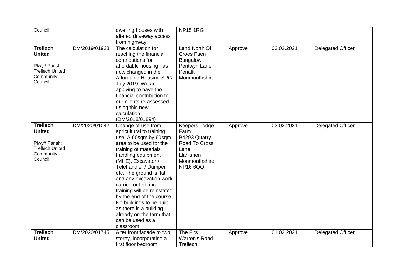| Council                                                                                              |               | dwelling houses with<br>altered driveway access<br>from highway.                                                                                                                                                                                                                                                                                                                                                                                            | <b>NP15 1RG</b>                                                                                                        |         |            |                          |
|------------------------------------------------------------------------------------------------------|---------------|-------------------------------------------------------------------------------------------------------------------------------------------------------------------------------------------------------------------------------------------------------------------------------------------------------------------------------------------------------------------------------------------------------------------------------------------------------------|------------------------------------------------------------------------------------------------------------------------|---------|------------|--------------------------|
| <b>Trellech</b><br><b>United</b><br>Plwyf/ Parish:<br><b>Trellech United</b><br>Community<br>Council | DM/2019/01928 | The calculation for<br>reaching the financial<br>contributions for<br>affordable housing has<br>now changed in the<br><b>Affordable Housing SPG</b><br>July 2019. We are<br>applying to have the<br>financial contribution for<br>our clients re-assessed<br>using this new<br>calculation.<br>(DM/2018/01894)                                                                                                                                              | Land North Of<br>Croes Faen<br><b>Bungalow</b><br>Pentwyn Lane<br>Penallt<br>Monmouthshire                             | Approve | 03.02.2021 | <b>Delegated Officer</b> |
| <b>Trellech</b><br><b>United</b><br>Plwyf/ Parish:<br><b>Trellech United</b><br>Community<br>Council | DM/2020/01042 | Change of use from<br>agricultural to training<br>use. A 60sqm by 60sqm<br>area to be used for the<br>training of materials<br>handling equipment<br>(MHE), Excavator /<br>Telehandler / Dumper<br>etc. The ground is flat<br>and any excavation work<br>carried out during<br>training will be reinstated<br>by the end of the course.<br>No buildings to be built<br>as there is a building<br>already on the farm that<br>can be used as a<br>classroom. | <b>Keepers Lodge</b><br>Farm<br>B4293 Quarry<br>Road To Cross<br>Lane<br>Llanishen<br>Monmouthshire<br><b>NP16 6QQ</b> | Approve | 03.02.2021 | <b>Delegated Officer</b> |
| <b>Trellech</b><br><b>United</b>                                                                     | DM/2020/01745 | Alter front facade to two<br>storey, incorporating a<br>first floor bedroom.                                                                                                                                                                                                                                                                                                                                                                                | The Firs<br>Warren's Road<br>Trellech                                                                                  | Approve | 01.02.2021 | <b>Delegated Officer</b> |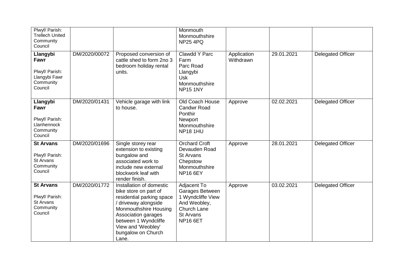| Plwyf/ Parish:<br><b>Trellech United</b><br>Community<br>Council            |               |                                                                                                                                                                                                                                     | Monmouth<br>Monmouthshire<br><b>NP25 4PQ</b>                                                                                     |                          |            |                          |
|-----------------------------------------------------------------------------|---------------|-------------------------------------------------------------------------------------------------------------------------------------------------------------------------------------------------------------------------------------|----------------------------------------------------------------------------------------------------------------------------------|--------------------------|------------|--------------------------|
| Llangybi<br>Fawr<br>Plwyf/ Parish:<br>Llangybi Fawr<br>Community<br>Council | DM/2020/00072 | Proposed conversion of<br>cattle shed to form 2no 3<br>bedroom holiday rental<br>units.                                                                                                                                             | Clawdd Y Parc<br>Farm<br>Parc Road<br>Llangybi<br><b>Usk</b><br>Monmouthshire<br><b>NP15 1NY</b>                                 | Application<br>Withdrawn | 29.01.2021 | <b>Delegated Officer</b> |
| Llangybi<br>Fawr<br>Plwyf/ Parish:<br>Llanhennock<br>Community<br>Council   | DM/2020/01431 | Vehicle garage with link<br>to house.                                                                                                                                                                                               | Old Coach House<br><b>Candwr Road</b><br>Ponthir<br>Newport<br>Monmouthshire<br><b>NP18 1HU</b>                                  | Approve                  | 02.02.2021 | <b>Delegated Officer</b> |
| <b>St Arvans</b><br>Plwyf/ Parish:<br>St Arvans<br>Community<br>Council     | DM/2020/01696 | Single storey rear<br>extension to existing<br>bungalow and<br>associated work to<br>include new external<br>blockwork leaf with<br>render finish.                                                                                  | <b>Orchard Croft</b><br>Devauden Road<br><b>St Arvans</b><br>Chepstow<br>Monmouthshire<br><b>NP16 6EY</b>                        | Approve                  | 28.01.2021 | <b>Delegated Officer</b> |
| <b>St Arvans</b><br>Plwyf/ Parish:<br>St Arvans<br>Community<br>Council     | DM/2020/01772 | Installation of domestic<br>bike store on part of<br>residential parking space<br>/ driveway alongside<br>Monmouthshire Housing<br>Association garages<br>between 1 Wyndcliffe<br>View and 'Weobley'<br>bungalow on Church<br>Lane. | Adjacent To<br>Garages Between<br>1 Wyndcliffe View<br>And Weobley,<br><b>Church Lane</b><br><b>St Arvans</b><br><b>NP16 6ET</b> | Approve                  | 03.02.2021 | <b>Delegated Officer</b> |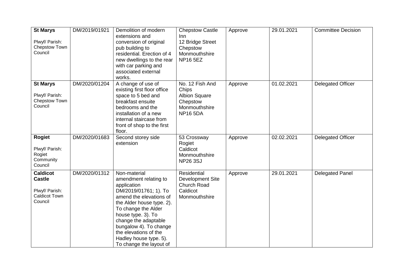| <b>St Marys</b><br>Plwyf/ Parish:<br>Chepstow Town<br>Council                         | DM/2019/01921 | Demolition of modern<br>extensions and<br>conversion of original<br>pub building to<br>residential. Erection of 4<br>new dwellings to the rear<br>with car parking and<br>associated external<br>works.                                                                                                            | <b>Chepstow Castle</b><br>Inn.<br>12 Bridge Street<br>Chepstow<br>Monmouthshire<br><b>NP16 5EZ</b> | Approve | 29.01.2021 | <b>Committee Decision</b> |
|---------------------------------------------------------------------------------------|---------------|--------------------------------------------------------------------------------------------------------------------------------------------------------------------------------------------------------------------------------------------------------------------------------------------------------------------|----------------------------------------------------------------------------------------------------|---------|------------|---------------------------|
| <b>St Marys</b><br>Plwyf/ Parish:<br>Chepstow Town<br>Council                         | DM/2020/01204 | A change of use of<br>existing first floor office<br>space to 5 bed and<br>breakfast ensuite<br>bedrooms and the<br>installation of a new<br>internal staircase from<br>front of shop to the first<br>floor.                                                                                                       | No. 12 Fish And<br>Chips<br><b>Albion Square</b><br>Chepstow<br>Monmouthshire<br><b>NP16 5DA</b>   | Approve | 01.02.2021 | <b>Delegated Officer</b>  |
| <b>Rogiet</b><br>Plwyf/ Parish:<br>Rogiet<br>Community<br>Council                     | DM/2020/01683 | Second storey side<br>extension                                                                                                                                                                                                                                                                                    | 53 Crossway<br>Rogiet<br>Caldicot<br>Monmouthshire<br><b>NP26 3SJ</b>                              | Approve | 02.02.2021 | <b>Delegated Officer</b>  |
| <b>Caldicot</b><br><b>Castle</b><br>Plwyf/ Parish:<br><b>Caldicot Town</b><br>Council | DM/2020/01312 | Non-material<br>amendment relating to<br>application<br>DM/2019/01761; 1). To<br>amend the elevations of<br>the Alder house type. 2).<br>To change the Alder<br>house type. 3). To<br>change the adaptable<br>bungalow 4). To change<br>the elevations of the<br>Hadley house type. 5).<br>To change the layout of | Residential<br>Development Site<br>Church Road<br>Caldicot<br>Monmouthshire                        | Approve | 29.01.2021 | <b>Delegated Panel</b>    |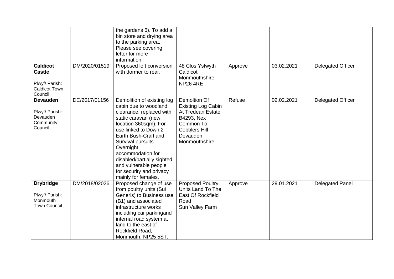|                                                                                       |               | the gardens 6). To add a<br>bin store and drying area<br>to the parking area.<br>Please see covering<br>letter for more<br>information.                                                                                                                                                                                                           |                                                                                                                                                |         |            |                          |
|---------------------------------------------------------------------------------------|---------------|---------------------------------------------------------------------------------------------------------------------------------------------------------------------------------------------------------------------------------------------------------------------------------------------------------------------------------------------------|------------------------------------------------------------------------------------------------------------------------------------------------|---------|------------|--------------------------|
| <b>Caldicot</b><br><b>Castle</b><br>Plwyf/ Parish:<br><b>Caldicot Town</b><br>Council | DM/2020/01519 | Proposed loft conversion<br>with dormer to rear.                                                                                                                                                                                                                                                                                                  | 48 Clos Ystwyth<br>Caldicot<br>Monmouthshire<br><b>NP26 4RE</b>                                                                                | Approve | 03.02.2021 | <b>Delegated Officer</b> |
| <b>Devauden</b><br>Plwyf/ Parish:<br>Devauden<br>Community<br>Council                 | DC/2017/01156 | Demolition of existing log<br>cabin due to woodland<br>clearance, replaced with<br>static caravan (new<br>location 360sqm). For<br>use linked to Down 2<br>Earth Bush-Craft and<br>Survival pursuits.<br>Overnight<br>accommodation for<br>disabled/partially sighted<br>and vulnerable people<br>for security and privacy<br>mainly for females. | Demoltion Of<br><b>Existing Log Cabin</b><br>At Tredean Estate<br>B4293, Nex<br>Common To<br><b>Cobblers Hill</b><br>Devauden<br>Monmouthshire | Refuse  | 02.02.2021 | <b>Delegated Officer</b> |
| <b>Drybridge</b><br>Plwyf/ Parish:<br>Monmouth<br><b>Town Council</b>                 | DM/2018/02026 | Proposed change of use<br>from poultry units (Sui<br>Generis) to Business use<br>(B1) and associated<br>infrastructure works<br>including car parkingand<br>internal road system at<br>land to the east of<br>Rockfield Road,<br>Monmouth, NP25 5ST.                                                                                              | <b>Proposed Poultry</b><br>Units Land To The<br>East Of Rockfield<br>Road<br>Sun Valley Farm                                                   | Approve | 29.01.2021 | <b>Delegated Panel</b>   |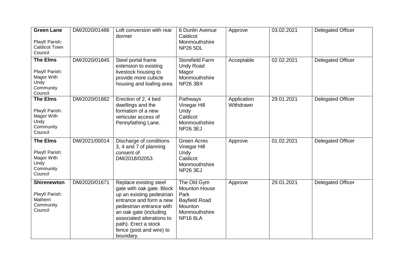| <b>Green Lane</b><br>Plwyf/ Parish:<br><b>Caldicot Town</b><br>Council          | DM/2020/01486 | Loft conversion with rear<br>dormer                                                                                                                                                                                                                             | 6 Dunlin Avenue<br>Caldicot<br>Monmouthshire<br><b>NP26 5DL</b>                                                    | Approve                  | 03.02.2021 | <b>Delegated Officer</b> |
|---------------------------------------------------------------------------------|---------------|-----------------------------------------------------------------------------------------------------------------------------------------------------------------------------------------------------------------------------------------------------------------|--------------------------------------------------------------------------------------------------------------------|--------------------------|------------|--------------------------|
| <b>The Elms</b><br>Plwyf/ Parish:<br>Magor With<br>Undy<br>Community<br>Council | DM/2020/01845 | Steel portal frame<br>extension to existing<br>livestock housing to<br>provide more cubicle<br>housing and loafing area.                                                                                                                                        | <b>Storefield Farm</b><br><b>Undy Road</b><br>Magor<br>Monmouthshire<br><b>NP26 3BX</b>                            | Acceptable               | 02.02.2021 | <b>Delegated Officer</b> |
| <b>The Elms</b><br>Plwyf/ Parish:<br>Magor With<br>Undy<br>Community<br>Council | DM/2020/01882 | Erection of 2, 4 bed<br>dwellings and the<br>formation of a new<br>vehicular access of<br>Pennyfathing Lane.                                                                                                                                                    | Pathways<br>Vinegar Hill<br>Undy<br>Caldicot<br>Monmouthshire<br><b>NP26 3EJ</b>                                   | Application<br>Withdrawn | 29.01.2021 | <b>Delegated Officer</b> |
| <b>The Elms</b><br>Plwyf/ Parish:<br>Magor With<br>Undy<br>Community<br>Council | DM/2021/00014 | Discharge of conditions<br>3, 4 and 7 of planning<br>consent of<br>DM/2018/02053.                                                                                                                                                                               | <b>Green Acres</b><br>Vinegar Hill<br>Undy<br>Caldicot<br>Monmouthshire<br><b>NP26 3EJ</b>                         | Approve                  | 01.02.2021 | <b>Delegated Officer</b> |
| <b>Shirenewton</b><br>Plwyf/ Parish:<br>Mathern<br>Community<br>Council         | DM/2020/01671 | Replace existing steel<br>gate with oak gate. Block<br>up an existing pedestrian<br>entrance and form a new<br>pedestrian entrance with<br>an oak gate (including<br>associated alterations to<br>path). Erect a stock<br>fence (post and wire) to<br>boundary. | The Old Gym<br><b>Mounton House</b><br>Park<br><b>Bayfield Road</b><br>Mounton<br>Monmouthshire<br><b>NP16 6LA</b> | Approve                  | 29.01.2021 | <b>Delegated Officer</b> |